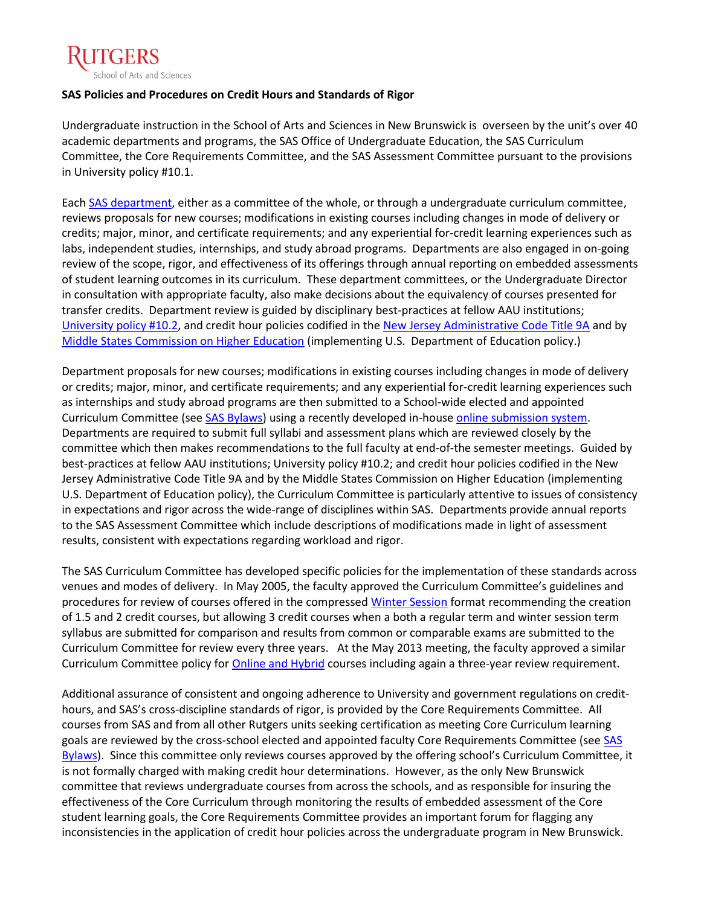

# **SAS Policies and Procedures on Credit Hours and Standards of Rigor**

Undergraduate instruction in the School of Arts and Sciences in New Brunswick is overseen by the unit's over 40 academic departments and programs, the SAS Office of Undergraduate Education, the SAS Curriculum Committee, the Core Requirements Committee, and the SAS Assessment Committee pursuant to the provisions in University policy #10.1.

Eac[h SAS department,](http://sas.rutgers.edu/academics/departments-a-degree-granting-programs) either as a committee of the whole, or through a undergraduate curriculum committee, reviews proposals for new courses; modifications in existing courses including changes in mode of delivery or credits; major, minor, and certificate requirements; and any experiential for-credit learning experiences such as labs, independent studies, internships, and study abroad programs. Departments are also engaged in on-going review of the scope, rigor, and effectiveness of its offerings through annual reporting on embedded assessments of student learning outcomes in its curriculum. These department committees, or the Undergraduate Director in consultation with appropriate faculty, also make decisions about the equivalency of courses presented for transfer credits. Department review is guided by disciplinary best-practices at fellow AAU institutions; [University policy #10.2,](http://policies.rutgers.edu/view-policies/academic-%E2%80%93-section-10#1) and credit hour policies codified in th[e New Jersey Administrative Code Title 9A](http://www.google.com/url?sa=t&rct=j&q=&esrc=s&source=web&cd=1&cad=rja&ved=0CDEQFjAA&url=http%3A%2F%2Fwww.state.nj.us%2Fhighereducation%2Fdocuments%2FLicensureRulesEffectiveJuly_28_2008.pdf&ei=eICaUfuHCbjd4AO92oDgCQ&usg=AFQjCNHMh8KWrBj25UduTnwZyREncFgkkw&sig2=r9IAh0bblVcDn1qBrKg-dQ&bvm=bv.46751780,d.dmg) and by [Middle States Commission on Higher Education](http://www.msche.org/documents/CreditHourPolicyRev112012.pdf) (implementing U.S. Department of Education policy.)

Department proposals for new courses; modifications in existing courses including changes in mode of delivery or credits; major, minor, and certificate requirements; and any experiential for-credit learning experiences such as internships and study abroad programs are then submitted to a School-wide elected and appointed Curriculum Committee (see [SAS Bylaws\)](http://sas.rutgers.edu/component/docman/doc_download/241-bylaws-of-the-school-of-arts-and-sciences?Itemid=) using a recently developed in-hous[e online submission system.](http://sas.rutgers.edu/component/docman/doc_download/657-step-by-step-through-course-curriculum-proposals-powerpoint?Itemid=475) Departments are required to submit full syllabi and assessment plans which are reviewed closely by the committee which then makes recommendations to the full faculty at end-of-the semester meetings. Guided by best-practices at fellow AAU institutions; University policy #10.2; and credit hour policies codified in the New Jersey Administrative Code Title 9A and by the Middle States Commission on Higher Education (implementing U.S. Department of Education policy), the Curriculum Committee is particularly attentive to issues of consistency in expectations and rigor across the wide-range of disciplines within SAS. Departments provide annual reports to the SAS Assessment Committee which include descriptions of modifications made in light of assessment results, consistent with expectations regarding workload and rigor.

The SAS Curriculum Committee has developed specific policies for the implementation of these standards across venues and modes of delivery. In May 2005, the faculty approved the Curriculum Committee's guidelines and procedures for review of courses offered in the compressed [Winter Session](http://sas.rutgers.edu/undergraduate-education-migrated/130-sas-winter-session-courses) format recommending the creation of 1.5 and 2 credit courses, but allowing 3 credit courses when a both a regular term and winter session term syllabus are submitted for comparison and results from common or comparable exams are submitted to the Curriculum Committee for review every three years. At the May 2013 meeting, the faculty approved a similar Curriculum Committee policy for **Online and Hybrid** courses including again a three-year review requirement.

Additional assurance of consistent and ongoing adherence to University and government regulations on credithours, and SAS's cross-discipline standards of rigor, is provided by the Core Requirements Committee. All courses from SAS and from all other Rutgers units seeking certification as meeting Core Curriculum learning goals are reviewed by the cross-school elected and appointed faculty Core Requirements Committee (see [SAS](http://sas.rutgers.edu/component/docman/doc_download/241-bylaws-of-the-school-of-arts-and-sciences?Itemid=)  [Bylaws\)](http://sas.rutgers.edu/component/docman/doc_download/241-bylaws-of-the-school-of-arts-and-sciences?Itemid=). Since this committee only reviews courses approved by the offering school's Curriculum Committee, it is not formally charged with making credit hour determinations. However, as the only New Brunswick committee that reviews undergraduate courses from across the schools, and as responsible for insuring the effectiveness of the Core Curriculum through monitoring the results of embedded assessment of the Core student learning goals, the Core Requirements Committee provides an important forum for flagging any inconsistencies in the application of credit hour policies across the undergraduate program in New Brunswick.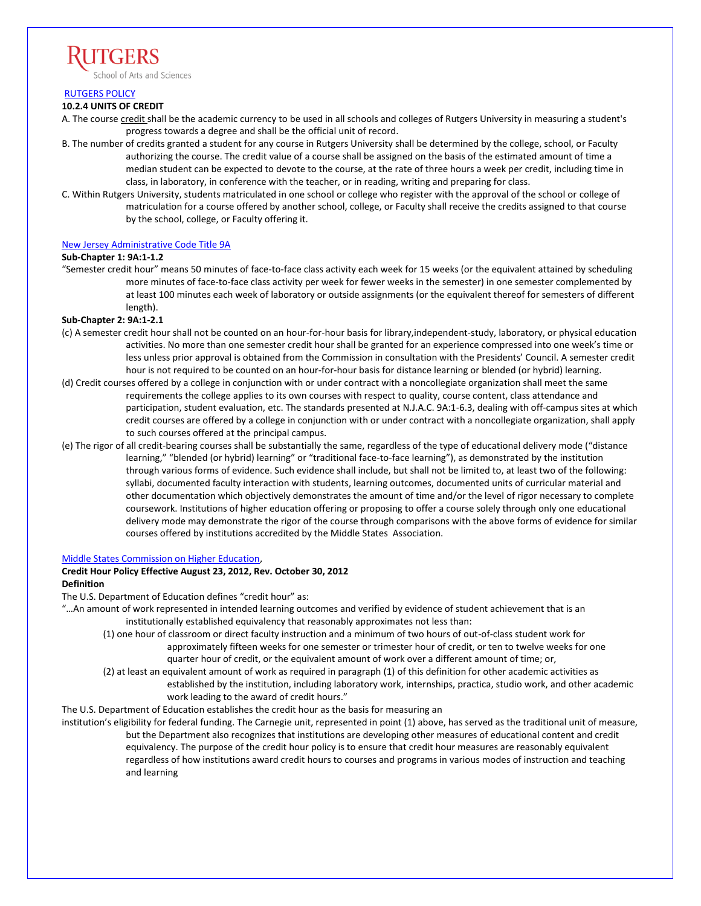

[RUTGERS POLICY](http://policies.rutgers.edu/view-policies/academic-%E2%80%93-section-10#1)

## **10.2.4 UNITS OF CREDIT**

- A. The course credit shall be the academic currency to be used in all schools and colleges of Rutgers University in measuring a student's progress towards a degree and shall be the official unit of record.
- B. The number of credits granted a student for any course in Rutgers University shall be determined by the college, school, or Faculty authorizing the course. The credit value of a course shall be assigned on the basis of the estimated amount of time a median student can be expected to devote to the course, at the rate of three hours a week per credit, including time in class, in laboratory, in conference with the teacher, or in reading, writing and preparing for class.
- C. Within Rutgers University, students matriculated in one school or college who register with the approval of the school or college of matriculation for a course offered by another school, college, or Faculty shall receive the credits assigned to that course by the school, college, or Faculty offering it.

## [New Jersey Administrative Code Title 9A](http://www.google.com/url?sa=t&rct=j&q=&esrc=s&source=web&cd=1&cad=rja&ved=0CDEQFjAA&url=http%3A%2F%2Fwww.state.nj.us%2Fhighereducation%2Fdocuments%2FLicensureRulesEffectiveJuly_28_2008.pdf&ei=eICaUfuHCbjd4AO92oDgCQ&usg=AFQjCNHMh8KWrBj25UduTnwZyREncFgkkw&sig2=r9IAh0bblVcDn1qBrKg-dQ&bvm=bv.46751780,d.dmg)

## **Sub-Chapter 1: 9A:1-1.2**

"Semester credit hour" means 50 minutes of face-to-face class activity each week for 15 weeks (or the equivalent attained by scheduling more minutes of face-to-face class activity per week for fewer weeks in the semester) in one semester complemented by at least 100 minutes each week of laboratory or outside assignments (or the equivalent thereof for semesters of different length).

## **Sub-Chapter 2: 9A:1-2.1**

- (c) A semester credit hour shall not be counted on an hour-for-hour basis for library,independent-study, laboratory, or physical education activities. No more than one semester credit hour shall be granted for an experience compressed into one week's time or less unless prior approval is obtained from the Commission in consultation with the Presidents' Council. A semester credit hour is not required to be counted on an hour-for-hour basis for distance learning or blended (or hybrid) learning.
- (d) Credit courses offered by a college in conjunction with or under contract with a noncollegiate organization shall meet the same requirements the college applies to its own courses with respect to quality, course content, class attendance and participation, student evaluation, etc. The standards presented at N.J.A.C. 9A:1-6.3, dealing with off-campus sites at which credit courses are offered by a college in conjunction with or under contract with a noncollegiate organization, shall apply to such courses offered at the principal campus.
- (e) The rigor of all credit-bearing courses shall be substantially the same, regardless of the type of educational delivery mode ("distance learning," "blended (or hybrid) learning" or "traditional face-to-face learning"), as demonstrated by the institution through various forms of evidence. Such evidence shall include, but shall not be limited to, at least two of the following: syllabi, documented faculty interaction with students, learning outcomes, documented units of curricular material and other documentation which objectively demonstrates the amount of time and/or the level of rigor necessary to complete coursework. Institutions of higher education offering or proposing to offer a course solely through only one educational delivery mode may demonstrate the rigor of the course through comparisons with the above forms of evidence for similar courses offered by institutions accredited by the Middle States Association.

#### [Middle States Commission on Higher Education,](http://www.msche.org/documents/CreditHourPolicyRev112012.pdf)

# **Credit Hour Policy Effective August 23, 2012, Rev. October 30, 2012**

## **Definition**

The U.S. Department of Education defines "credit hour" as:

- "…An amount of work represented in intended learning outcomes and verified by evidence of student achievement that is an institutionally established equivalency that reasonably approximates not less than:
	- (1) one hour of classroom or direct faculty instruction and a minimum of two hours of out-of-class student work for approximately fifteen weeks for one semester or trimester hour of credit, or ten to twelve weeks for one quarter hour of credit, or the equivalent amount of work over a different amount of time; or,
	- (2) at least an equivalent amount of work as required in paragraph (1) of this definition for other academic activities as established by the institution, including laboratory work, internships, practica, studio work, and other academic work leading to the award of credit hours."

The U.S. Department of Education establishes the credit hour as the basis for measuring an

institution's eligibility for federal funding. The Carnegie unit, represented in point (1) above, has served as the traditional unit of measure, but the Department also recognizes that institutions are developing other measures of educational content and credit equivalency. The purpose of the credit hour policy is to ensure that credit hour measures are reasonably equivalent regardless of how institutions award credit hours to courses and programs in various modes of instruction and teaching and learning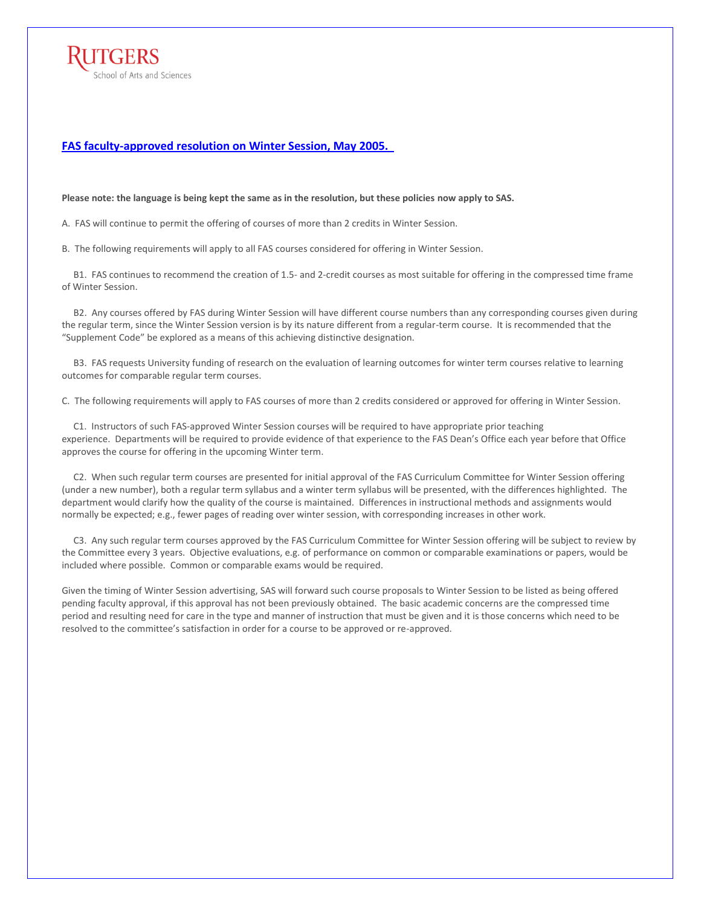

## **[FAS faculty-approved resolution on Winter Session, May 2005.](http://sas.rutgers.edu/undergraduate-education-migrated/130-sas-winter-session-courses)**

**Please note: the language is being kept the same as in the resolution, but these policies now apply to SAS.**

A. FAS will continue to permit the offering of courses of more than 2 credits in Winter Session.

B. The following requirements will apply to all FAS courses considered for offering in Winter Session.

 B1. FAS continues to recommend the creation of 1.5- and 2-credit courses as most suitable for offering in the compressed time frame of Winter Session.

 B2. Any courses offered by FAS during Winter Session will have different course numbers than any corresponding courses given during the regular term, since the Winter Session version is by its nature different from a regular-term course. It is recommended that the "Supplement Code" be explored as a means of this achieving distinctive designation.

 B3. FAS requests University funding of research on the evaluation of learning outcomes for winter term courses relative to learning outcomes for comparable regular term courses.

C. The following requirements will apply to FAS courses of more than 2 credits considered or approved for offering in Winter Session.

 C1. Instructors of such FAS-approved Winter Session courses will be required to have appropriate prior teaching experience. Departments will be required to provide evidence of that experience to the FAS Dean's Office each year before that Office approves the course for offering in the upcoming Winter term.

 C2. When such regular term courses are presented for initial approval of the FAS Curriculum Committee for Winter Session offering (under a new number), both a regular term syllabus and a winter term syllabus will be presented, with the differences highlighted. The department would clarify how the quality of the course is maintained. Differences in instructional methods and assignments would normally be expected; e.g., fewer pages of reading over winter session, with corresponding increases in other work.

 C3. Any such regular term courses approved by the FAS Curriculum Committee for Winter Session offering will be subject to review by the Committee every 3 years. Objective evaluations, e.g. of performance on common or comparable examinations or papers, would be included where possible. Common or comparable exams would be required.

Given the timing of Winter Session advertising, SAS will forward such course proposals to Winter Session to be listed as being offered pending faculty approval, if this approval has not been previously obtained. The basic academic concerns are the compressed time period and resulting need for care in the type and manner of instruction that must be given and it is those concerns which need to be resolved to the committee's satisfaction in order for a course to be approved or re-approved.